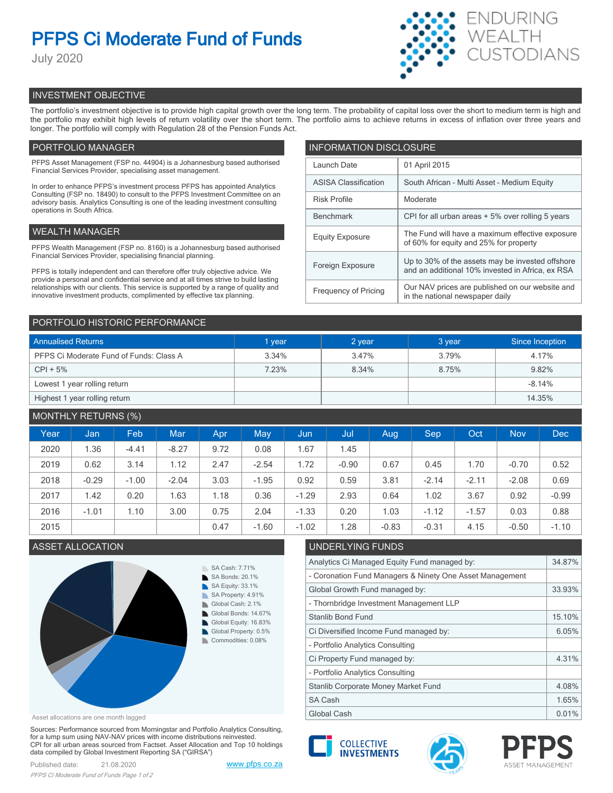# **PFPS Ci Moderate Fund of Funds**

July 2020



## INVESTMENT OBJECTIVE

The portfolio's investment objective is to provide high capital growth over the long term. The probability of capital loss over the short to medium term is high and the portfolio may exhibit high levels of return volatility over the short term. The portfolio aims to achieve returns in excess of inflation over three years and longer. The portfolio will comply with Regulation 28 of the Pension Funds Act.

## PORTFOLIO MANAGER

PFPS Asset Management (FSP no. 44904) is a Johannesburg based authorised Financial Services Provider, specialising asset management.

In order to enhance PFPS's investment process PFPS has appointed Analytics Consulting (FSP no. 18490) to consult to the PFPS Investment Committee on an advisory basis. Analytics Consulting is one of the leading investment consulting operations in South Africa.

## WEALTH MANAGER

PFPS Wealth Management (FSP no. 8160) is a Johannesburg based authorised Financial Services Provider, specialising financial planning.

PFPS is totally independent and can therefore offer truly objective advice. We provide a personal and confidential service and at all times strive to build lasting relationships with our clients. This service is supported by a range of quality and innovative investment products, complimented by effective tax planning.

| <b>INFORMATION DISCLOSURE</b> |                                                                                                      |  |  |  |
|-------------------------------|------------------------------------------------------------------------------------------------------|--|--|--|
| Launch Date                   | 01 April 2015                                                                                        |  |  |  |
| <b>ASISA Classification</b>   | South African - Multi Asset - Medium Equity                                                          |  |  |  |
| <b>Risk Profile</b>           | Moderate                                                                                             |  |  |  |
| <b>Benchmark</b>              | CPI for all urban areas + 5% over rolling 5 years                                                    |  |  |  |
| <b>Equity Exposure</b>        | The Fund will have a maximum effective exposure<br>of 60% for equity and 25% for property            |  |  |  |
| Foreign Exposure              | Up to 30% of the assets may be invested offshore<br>and an additional 10% invested in Africa, ex RSA |  |  |  |
| <b>Frequency of Pricing</b>   | Our NAV prices are published on our website and<br>in the national newspaper daily                   |  |  |  |

## PORTFOLIO HISTORIC PERFORMANCE

| <b>Annualised Returns</b>               | 1 year | 2 year | 3 year | Since Inception |
|-----------------------------------------|--------|--------|--------|-----------------|
| PFPS Ci Moderate Fund of Funds: Class A | 3.34%  | 3.47%  | 3.79%  | 4.17%           |
| $CPI + 5%$                              | 7.23%  | 8.34%  | 8.75%  | 9.82%           |
| Lowest 1 year rolling return            |        |        |        | $-8.14%$        |
| Highest 1 year rolling return           |        |        |        | 14.35%          |

## MONTHLY RETURNS (%)

|      |         | $\sqrt{2}$ |            |      |         |         |         |         |            |         |            |            |
|------|---------|------------|------------|------|---------|---------|---------|---------|------------|---------|------------|------------|
| Year | Jan     | Feb        | <b>Mar</b> | Apr  | May     | Jun     | Jul     | Aug     | <b>Sep</b> | Oct     | <b>Nov</b> | <b>Dec</b> |
| 2020 | 1.36    | $-4.41$    | $-8.27$    | 9.72 | 0.08    | i.67    | 1.45    |         |            |         |            |            |
| 2019 | 0.62    | 3.14       | 1.12       | 2.47 | $-2.54$ | 1.72    | $-0.90$ | 0.67    | 0.45       | 1.70    | $-0.70$    | 0.52       |
| 2018 | $-0.29$ | $-1.00$    | $-2.04$    | 3.03 | $-1.95$ | 0.92    | 0.59    | 3.81    | $-2.14$    | $-2.11$ | $-2.08$    | 0.69       |
| 2017 | 1.42    | 0.20       | 1.63       | 1.18 | 0.36    | $-1.29$ | 2.93    | 0.64    | 1.02       | 3.67    | 0.92       | $-0.99$    |
| 2016 | $-1.01$ | 1.10       | 3.00       | 0.75 | 2.04    | $-1.33$ | 0.20    | 1.03    | $-1.12$    | $-1.57$ | 0.03       | 0.88       |
| 2015 |         |            |            | 0.47 | $-1.60$ | $-1.02$ | 1.28    | $-0.83$ | $-0.31$    | 4.15    | $-0.50$    | $-1.10$    |

## ASSET ALLOCATION UNDERLYING FUNDS



Asset allocations are one month lagged

Sources: Performance sourced from Morningstar and Portfolio Analytics Consulting, for a lump sum using NAV-NAV prices with income distributions reinvested. CPI for all urban areas sourced from Factset. Asset Allocation and Top 10 holdings data compiled by Global Investment Reporting SA ("GIRSA")

## Analytics Ci Managed Equity Fund managed by: 34.87% - Coronation Fund Managers & Ninety One Asset Management

| Global Growth Fund managed by:          |       |  |  |
|-----------------------------------------|-------|--|--|
| - Thornbridge Investment Management LLP |       |  |  |
| Stanlib Bond Fund                       |       |  |  |
| Ci Diversified Income Fund managed by:  | 6.05% |  |  |
| - Portfolio Analytics Consulting        |       |  |  |
| Ci Property Fund managed by:            |       |  |  |
| - Portfolio Analytics Consulting        |       |  |  |
| Stanlib Corporate Money Market Fund     |       |  |  |
| <b>SA Cash</b>                          |       |  |  |
| Global Cash                             |       |  |  |